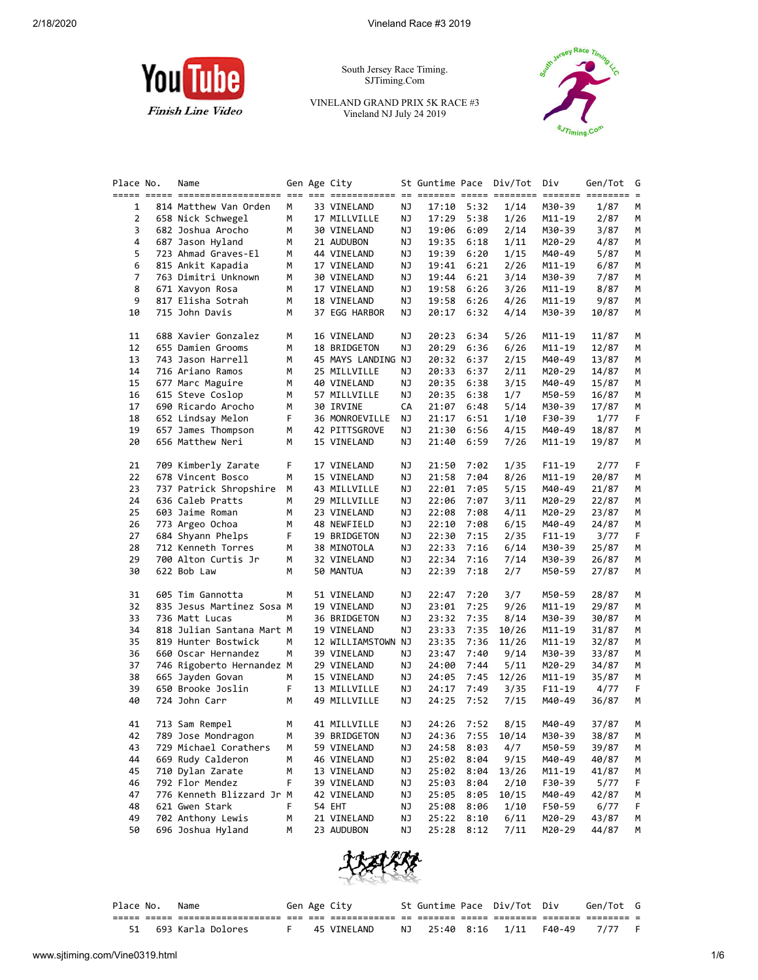

South Jersey Race Timing. SJTiming.Com

VINELAND GRAND PRIX 5K RACE #3 Vineland NJ July 24 2019



| Place No. | Name                      |    | Gen Age City       |    |       |            | St Guntime Pace Div/Tot Div |            | Gen/Tot | G |
|-----------|---------------------------|----|--------------------|----|-------|------------|-----------------------------|------------|---------|---|
|           |                           |    |                    |    |       |            |                             |            |         |   |
| 1         | 814 Matthew Van Orden     | М  | 33 VINELAND        | ΝJ | 17:10 | 5:32       | 1/14                        | M30-39     | 1/87    | М |
| 2         | 658 Nick Schwegel         | м  | 17 MILLVILLE       | ΝJ | 17:29 | 5:38       | 1/26                        | M11-19     | 2/87    | м |
| 3         | 682 Joshua Arocho         | М  | 30 VINELAND        | ΝJ | 19:06 | 6:09       | 2/14                        | M30-39     | 3/87    | М |
| 4         | 687 Jason Hyland          | М  | 21 AUDUBON         | ΝJ | 19:35 | 6:18       | 1/11                        | M20-29     | 4/87    | M |
| 5         | 723 Ahmad Graves-El       | М  | 44 VINELAND        | ΝJ | 19:39 | 6:20       | 1/15                        | M40-49     | 5/87    | м |
| 6         | 815 Ankit Kapadia         | м  | 17 VINELAND        | ΝJ | 19:41 | 6:21       | 2/26                        | M11-19     | 6/87    | м |
| 7         | 763 Dimitri Unknown       | м  | 30 VINELAND        | ΝJ | 19:44 | 6:21       | 3/14                        | M30-39     | 7/87    | М |
| 8         | 671 Xavyon Rosa           | М  | 17 VINELAND        | ΝJ | 19:58 | 6:26       | 3/26                        | M11-19     | 8/87    | М |
| 9         | 817 Elisha Sotrah         | М  | 18 VINELAND        | ΝJ | 19:58 | 6:26       | 4/26                        | M11-19     | 9/87    | М |
| 10        | 715 John Davis            | М  | 37 EGG HARBOR      | ΝJ | 20:17 | 6:32       | 4/14                        | M30-39     | 10/87   | М |
|           |                           |    |                    |    |       |            |                             |            |         |   |
| 11        | 688 Xavier Gonzalez       | М  | 16 VINELAND        | ΝJ | 20:23 | 6:34       | 5/26                        | $M11 - 19$ | 11/87   | М |
| 12        | 655 Damien Grooms         | м  | 18 BRIDGETON       | ΝJ | 20:29 | 6:36       | 6/26                        | M11-19     | 12/87   | м |
| 13        | 743 Jason Harrell         | М  | 45 MAYS LANDING NJ |    | 20:32 | 6:37       | 2/15                        | M40-49     | 13/87   | м |
| 14        | 716 Ariano Ramos          | М  | 25 MILLVILLE       | ΝJ | 20:33 | 6:37       | 2/11                        | M20-29     | 14/87   | М |
| 15        | 677 Marc Maguire          | М  | 40 VINELAND        | ΝJ | 20:35 | 6:38       | 3/15                        | M40-49     | 15/87   | М |
| 16        | 615 Steve Coslop          | М  | 57 MILLVILLE       | ΝJ | 20:35 | 6:38       | 1/7                         | M50-59     | 16/87   | м |
| 17        | 690 Ricardo Arocho        | М  | 30 IRVINE          | CA | 21:07 | 6:48       | 5/14                        | M30-39     | 17/87   | м |
| 18        | 652 Lindsay Melon         | F  | 36 MONROEVILLE     | ΝJ | 21:17 | 6:51       | 1/10                        | F30-39     | 1/77    | F |
| 19        | 657 James Thompson        | М  | 42 PITTSGROVE      | ΝJ | 21:30 | 6:56       | 4/15                        | M40-49     | 18/87   | М |
| 20        | 656 Matthew Neri          | М  | 15 VINELAND        | ΝJ | 21:40 | 6:59       | 7/26                        | M11-19     | 19/87   | М |
|           |                           |    |                    |    |       |            |                             |            |         |   |
| 21        | 709 Kimberly Zarate       | F. | 17 VINELAND        | ΝJ | 21:50 | 7:02       | 1/35                        | $F11-19$   | 2/77    | F |
| 22        | 678 Vincent Bosco         | м  | 15 VINELAND        | ΝJ | 21:58 | 7:04       | 8/26                        | M11-19     | 20/87   | м |
| 23        | 737 Patrick Shropshire    | м  | 43 MILLVILLE       | ΝJ | 22:01 | 7:05       | 5/15                        | M40-49     | 21/87   | м |
| 24        | 636 Caleb Pratts          | м  | 29 MILLVILLE       | ΝJ | 22:06 | 7:07       | 3/11                        | M20-29     | 22/87   | М |
| 25        | 603 Jaime Roman           | м  | 23 VINELAND        | ΝJ | 22:08 | 7:08       | 4/11                        | M20-29     | 23/87   | М |
| 26        | 773 Argeo Ochoa           | М  | 48 NEWFIELD        | ΝJ | 22:10 | 7:08       | 6/15                        | M40-49     | 24/87   | М |
| 27        | 684 Shyann Phelps         | F  | 19 BRIDGETON       | ΝJ | 22:30 | 7:15       | 2/35                        | $F11-19$   | 3/77    | F |
| 28        | 712 Kenneth Torres        | М  | 38 MINOTOLA        | ΝJ | 22:33 | 7:16       | 6/14                        | M30-39     | 25/87   | м |
| 29        | 700 Alton Curtis Jr       | м  | 32 VINELAND        | ΝJ | 22:34 | 7:16       | 7/14                        | M30-39     | 26/87   | м |
| 30        | 622 Bob Law               | М  | 50 MANTUA          | ΝJ | 22:39 | 7:18       | 2/7                         | M50-59     | 27/87   | М |
|           |                           |    |                    |    |       |            |                             |            |         |   |
| 31        | 605 Tim Gannotta          | м  | 51 VINELAND        | ΝJ | 22:47 | 7:20       | 3/7                         | M50-59     | 28/87   | M |
| 32        | 835 Jesus Martinez Sosa M |    | 19 VINELAND        | ΝJ | 23:01 | 7:25       | 9/26                        | M11-19     | 29/87   | м |
| 33        | 736 Matt Lucas            | м  | 36 BRIDGETON       | ΝJ | 23:32 | 7:35       | 8/14                        | M30-39     | 30/87   | M |
| 34        | 818 Julian Santana Mart M |    | 19 VINELAND        | ΝJ | 23:33 | 7:35       | 10/26                       | M11-19     | 31/87   | M |
| 35        | 819 Hunter Bostwick       | М  | 12 WILLIAMSTOWN NJ |    | 23:35 | 7:36       | 11/26                       | M11-19     | 32/87   | м |
| 36        | 660 Oscar Hernandez       | М  | 39 VINELAND        | ΝJ | 23:47 | 7:40       | 9/14                        | M30-39     | 33/87   | М |
| 37        | 746 Rigoberto Hernandez M |    | 29 VINELAND        | ΝJ | 24:00 | 7:44       | 5/11                        | M20-29     | 34/87   | M |
| 38        | 665 Jayden Govan          | М  | 15 VINELAND        | ΝJ | 24:05 | 7:45       | 12/26                       | M11-19     | 35/87   | м |
| 39        | 650 Brooke Joslin         | F  | 13 MILLVILLE       | ΝJ | 24:17 | 7:49       | 3/35                        | $F11-19$   | 4/77    | F |
| 40        | 724 John Carr             | М  | 49 MILLVILLE       | ΝJ | 24:25 | 7:52       | 7/15                        | M40-49     | 36/87   | М |
|           |                           |    |                    |    |       |            |                             |            |         |   |
| 41        | 713 Sam Rempel            | М  | 41 MILLVILLE       | ΝJ | 24:26 | 7:52       | 8/15                        | M40-49     | 37/87   | М |
| 42        | 789 Jose Mondragon        | М  | 39 BRIDGETON       | ΝJ | 24:36 | 7:55       | 10/14                       | M30-39     | 38/87   | M |
| 43        | 729 Michael Corathers     | м  | 59 VINELAND        | ΝJ | 24:58 | 8:03       | 4/7                         | M50-59     | 39/87   | м |
| 44        | 669 Rudy Calderon         | м  | 46 VINELAND        | ΝJ | 25:02 | 8:04       | 9/15                        | M40-49     | 40/87   | м |
| 45        | 710 Dylan Zarate          | М  | 13 VINELAND        | ΝJ | 25:02 | 8:04       | 13/26                       | M11-19     | 41/87   | м |
| 46        | 792 Flor Mendez           | F  | 39 VINELAND        | ΝJ | 25:03 | 8:04       | 2/10                        | F30-39     | 5/77    | F |
| 47        | 776 Kenneth Blizzard Jr M |    | 42 VINELAND        | ΝJ | 25:05 | 8:05       | 10/15                       | M40-49     | 42/87   | м |
| 48        | 621 Gwen Stark            | F  | 54 EHT             | ΝJ | 25:08 | 8:06       | 1/10                        | F50-59     | 6/77    | F |
| 49        | 702 Anthony Lewis         | м  | 21 VINELAND        | ΝJ | 25:22 | 8:10       | 6/11                        | M20-29     | 43/87   | M |
| 50        | 696 Joshua Hyland         | М  | 23 AUDUBON         | ΝJ |       | 25:28 8:12 | 7/11                        | M20-29     | 44/87   | М |
|           |                           |    |                    |    |       |            |                             |            |         |   |



| Place No. | Name                 |  | Gen Age City |  | St Guntime Pace Div/Tot Div | Gen/Tot G |  |
|-----------|----------------------|--|--------------|--|-----------------------------|-----------|--|
|           |                      |  |              |  |                             |           |  |
|           | 51 693 Karla Dolores |  | 45 VINELAND  |  | NJ 25:40 8:16 1/11 F40-49   | 7/77      |  |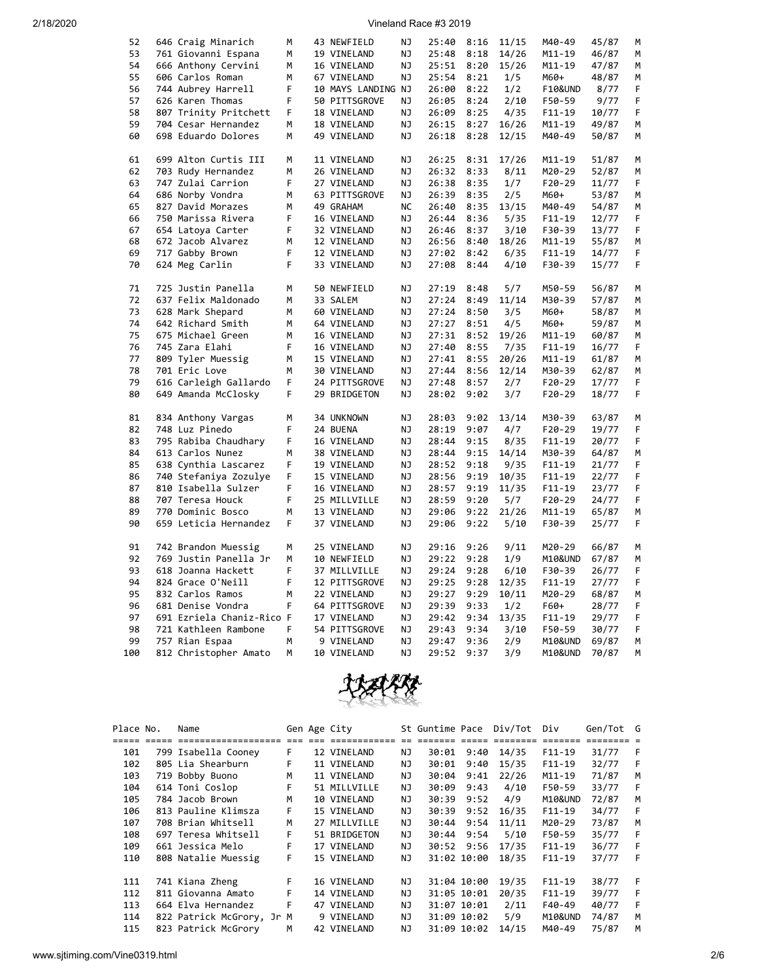### 2/18/2020 Vineland Race #3 2019

| 52  | 646 Craig Minarich        | М  | 43 NEWFIELD        | ΝJ        | 25:40          | 8:16 | 11/15         | M40-49             | 45/87 | М      |
|-----|---------------------------|----|--------------------|-----------|----------------|------|---------------|--------------------|-------|--------|
| 53  | 761 Giovanni Espana       | M  | 19 VINELAND        | NJ        | 25:48          | 8:18 | 14/26         | M11-19             | 46/87 | М      |
| 54  | 666 Anthony Cervini       | М  | 16 VINELAND        | ΝJ        | 25:51          | 8:20 | 15/26         | M11-19             | 47/87 | М      |
| 55  | 606 Carlos Roman          | M  | 67 VINELAND        | NJ        | 25:54          | 8:21 | 1/5           | M60+               | 48/87 | М      |
| 56  | 744 Aubrey Harrell        | F  | 10 MAYS LANDING NJ |           | 26:00          | 8:22 | 1/2           | <b>F10&amp;UND</b> | 8/77  | F      |
| 57  | 626 Karen Thomas          | F  | 50 PITTSGROVE      | ΝJ        | 26:05          | 8:24 | 2/10          | F50-59             | 9/77  | F      |
| 58  | 807 Trinity Pritchett     | F. | 18 VINELAND        | ΝJ        | 26:09          | 8:25 | 4/35          | $F11-19$           | 10/77 | F      |
| 59  |                           |    |                    |           |                |      |               |                    |       |        |
|     | 704 Cesar Hernandez       | М  | 18 VINELAND        | ΝJ        | 26:15          | 8:27 | 16/26         | M11-19             | 49/87 | М      |
| 60  | 698 Eduardo Dolores       | М  | 49 VINELAND        | ΝJ        | 26:18          | 8:28 | 12/15         | M40-49             | 50/87 | M      |
| 61  | 699 Alton Curtis III      | М  | 11 VINELAND        | ΝJ        | 26:25          | 8:31 | 17/26         | M11-19             | 51/87 | М      |
| 62  | 703 Rudy Hernandez        | М  | 26 VINELAND        | ΝJ        | 26:32          | 8:33 | 8/11          | M20-29             | 52/87 | М      |
| 63  | 747 Zulai Carrion         | F  | 27 VINELAND        | ΝJ        | 26:38          | 8:35 | 1/7           | $F20-29$           | 11/77 | F      |
| 64  |                           |    |                    |           |                |      |               |                    |       |        |
|     | 686 Norby Vondra          | м  | 63 PITTSGROVE      | ΝJ        | 26:39          | 8:35 | 2/5           | M60+               | 53/87 | М      |
| 65  | 827 David Morazes         | M  | 49 GRAHAM          | <b>NC</b> | 26:40          | 8:35 | 13/15         | M40-49             | 54/87 | M      |
| 66  | 750 Marissa Rivera        | F  | 16 VINELAND        | ΝJ        | 26:44          | 8:36 | 5/35          | $F11 - 19$         | 12/77 | F      |
| 67  | 654 Latoya Carter         | F  | 32 VINELAND        | NJ        | 26:46          | 8:37 | 3/10          | F30-39             | 13/77 | F      |
| 68  | 672 Jacob Alvarez         | М  | 12 VINELAND        | ΝJ        | 26:56          | 8:40 | 18/26         | M11-19             | 55/87 | М      |
| 69  | 717 Gabby Brown           | F  | 12 VINELAND        | ΝJ        | 27:02          | 8:42 | 6/35          | $F11-19$           | 14/77 | F      |
| 70  | 624 Meg Carlin            | F  | 33 VINELAND        | ΝJ        | 27:08          | 8:44 | 4/10          | F30-39             | 15/77 | F      |
| 71  | 725 Justin Panella        | M  | 50 NEWFIELD        | NJ        | 27:19          | 8:48 | 5/7           | M50-59             | 56/87 | M      |
| 72  | 637 Felix Maldonado       | M  | 33 SALEM           | NJ        | 27:24          | 8:49 | 11/14         | M30-39             | 57/87 | М      |
|     |                           |    |                    |           |                |      |               |                    |       |        |
| 73  | 628 Mark Shepard          | М  | 60 VINELAND        | ΝJ        | 27:24          | 8:50 | 3/5           | M60+               | 58/87 | М      |
| 74  | 642 Richard Smith         | M  | 64 VINELAND        | ΝJ        | 27:27          | 8:51 | 4/5           | M60+               | 59/87 | М      |
| 75  | 675 Michael Green         | М  | 16 VINELAND        | ΝJ        | 27:31          | 8:52 | 19/26         | M11-19             | 60/87 | М      |
| 76  | 745 Zara Elahi            | F  | 16 VINELAND        | ΝJ        | 27:40          | 8:55 | 7/35          | F11-19             | 16/77 | F      |
| 77  | 809 Tyler Muessig         | M  | 15 VINELAND        | NJ        | 27:41          | 8:55 | 20/26         | M11-19             | 61/87 | М      |
| 78  | 701 Eric Love             | M  | 30 VINELAND        | NJ        | 27:44          | 8:56 | 12/14         | M30-39             | 62/87 | М      |
| 79  | 616 Carleigh Gallardo     | F  | 24 PITTSGROVE      | ΝJ        | 27:48          | 8:57 | 2/7           | $F20-29$           | 17/77 | F      |
| 80  | 649 Amanda McClosky       | F  | 29 BRIDGETON       | ΝJ        | 28:02          | 9:02 | 3/7           | F20-29             | 18/77 | F      |
| 81  | 834 Anthony Vargas        | М  | 34 UNKNOWN         | ΝJ        | 28:03          | 9:02 | 13/14         | M30-39             | 63/87 | М      |
| 82  | 748 Luz Pinedo            | F  | 24 BUENA           | ΝJ        | 28:19          | 9:07 | 4/7           | $F20-29$           | 19/77 | F      |
| 83  | 795 Rabiba Chaudhary      | F  |                    |           |                | 9:15 |               |                    |       | F      |
| 84  | 613 Carlos Nunez          | Μ  | 16 VINELAND        | ΝJ<br>NJ  | 28:44<br>28:44 | 9:15 | 8/35<br>14/14 | F11-19             | 20/77 |        |
|     |                           |    | 38 VINELAND        |           |                |      |               | M30-39             | 64/87 | М      |
| 85  | 638 Cynthia Lascarez      | F  | 19 VINELAND        | ΝJ        | 28:52          | 9:18 | 9/35          | $F11-19$           | 21/77 | F      |
| 86  | 740 Stefaniya Zozulye     | F  | 15 VINELAND        | ΝJ        | 28:56          | 9:19 | 10/35         | $F11-19$           | 22/77 | F      |
| 87  | 810 Isabella Sulzer       | F  | 16 VINELAND        | ΝJ        | 28:57          | 9:19 | 11/35         | $F11-19$           | 23/77 | F      |
| 88  | 707 Teresa Houck          | F  | 25 MILLVILLE       | ΝJ        | 28:59          | 9:20 | 5/7           | F20-29             | 24/77 | F      |
| 89  | 770 Dominic Bosco         | м  | 13 VINELAND        | ΝJ        | 29:06          | 9:22 | 21/26         | M11-19             | 65/87 | м      |
| 90  | 659 Leticia Hernandez     | F  | 37 VINELAND        | NJ        | 29:06          | 9:22 | 5/10          | F30-39             | 25/77 | F      |
| 91  | 742 Brandon Muessig       | М  | 25 VINELAND        | NJ        | 29:16          | 9:26 | 9/11          | M20-29             | 66/87 | М      |
| 92  | 769 Justin Panella Jr     | М  | 10 NEWFIELD        | ΝJ        | 29:22          | 9:28 | 1/9           | M10&UND            | 67/87 | М      |
| 93  |                           | F  |                    |           |                |      |               |                    |       |        |
| 94  | 618 Joanna Hackett        | F  | 37 MILLVILLE       | ΝJ        | 29:24          | 9:28 | 6/10          | F30-39             | 26/77 | F<br>F |
|     | 824 Grace O'Neill         |    | 12 PITTSGROVE      | ΝJ        | 29:25          | 9:28 | 12/35         | $F11-19$           | 27/77 |        |
| 95  | 832 Carlos Ramos          | М  | 22 VINELAND        | ΝJ        | 29:27          | 9:29 | 10/11         | M20-29             | 68/87 | М      |
| 96  | 681 Denise Vondra         | F  | 64 PITTSGROVE      | ΝJ        | 29:39          | 9:33 | 1/2           | F60+               | 28/77 | F      |
| 97  | 691 Ezriela Chaniz-Rico F |    | 17 VINELAND        | ΝJ        | 29:42          | 9:34 | 13/35         | $F11-19$           | 29/77 | F      |
| 98  | 721 Kathleen Rambone      | F  | 54 PITTSGROVE      | ΝJ        | 29:43          | 9:34 | 3/10          | F50-59             | 30/77 | F      |
| 99  | 757 Rian Espaa            | М  | 9 VINELAND         | ΝJ        | 29:47          | 9:36 | 2/9           | M10&UND            | 69/87 | М      |
| 100 | 812 Christopher Amato     | M  | 10 VINELAND        | NJ        | 29:52          | 9:37 | 3/9           | M10&UND            | 70/87 | м      |



| Place No. | Name                      |      | Gen Age City |     | St Guntime Pace |             | Div/Tot | Div        | Gen/Tot G |    |
|-----------|---------------------------|------|--------------|-----|-----------------|-------------|---------|------------|-----------|----|
|           | ==================        | $==$ | ==========   |     |                 |             | =====   | =======    |           |    |
| 101       | 799 Isabella Cooney       | F.   | 12 VINELAND  | NJ  | 30:01           | 9:40        | 14/35   | $F11-19$   | 31/77     | -F |
| 102       | 805 Lia Shearburn         | F    | 11 VINELAND  | NJ  | 30:01           | 9:40        | 15/35   | $F11-19$   | 32/77     | F  |
| 103       | 719 Bobby Buono           | M    | 11 VINELAND  | NJ  | 30:04           | 9:41        | 22/26   | $M11 - 19$ | 71/87     | м  |
| 104       | 614 Toni Coslop           | F.   | 51 MILLVILLE | NJ  | 30:09           | 9:43        | 4/10    | F50-59     | 33/77     | F  |
| 105       | 784 Jacob Brown           | М    | 10 VINELAND  | NJ  | 30:39           | 9:52        | 4/9     | M10&UND    | 72/87     | м  |
| 106       | 813 Pauline Klimsza       | F.   | 15 VINELAND  | NJ  | 30:39           | 9:52        | 16/35   | $F11-19$   | 34/77     | F  |
| 107       | 708 Brian Whitsell        | м    | 27 MILLVILLE | NJ  | 30:44           | 9:54        | 11/11   | M20-29     | 73/87     | M  |
| 108       | 697 Teresa Whitsell       | F    | 51 BRIDGETON | NJ. | 30:44           | 9:54        | 5/10    | F50-59     | 35/77     | F  |
| 109       | 661 Jessica Melo          | F    | 17 VINELAND  | NJ. |                 | 30:52 9:56  | 17/35   | $F11-19$   | 36/77     | F  |
| 110       | 808 Natalie Muessig       | F    | 15 VINELAND  | NJ. |                 | 31:02 10:00 | 18/35   | $F11-19$   | 37/77     | -F |
|           |                           |      |              |     |                 |             |         |            |           |    |
| 111       | 741 Kiana Zheng           | F.   | 16 VINELAND  | ΝJ  |                 | 31:04 10:00 | 19/35   | $F11-19$   | 38/77     | -F |
| 112       | 811 Giovanna Amato        | F    | 14 VINELAND  | NJ  |                 | 31:05 10:01 | 20/35   | $F11-19$   | 39/77     | F  |
| 113       | 664 Elva Hernandez        | F    | 47 VINELAND  | NJ  |                 | 31:07 10:01 | 2/11    | $F40-49$   | 40/77     | F  |
| 114       | 822 Patrick McGrory, Jr M |      | 9 VINELAND   | NJ  |                 | 31:09 10:02 | 5/9     | M10&UND    | 74/87     | M  |
| 115       | 823 Patrick McGrory       | М    | 42 VINELAND  | NJ  |                 | 31:09 10:02 | 14/15   | M40-49     | 75/87     | M  |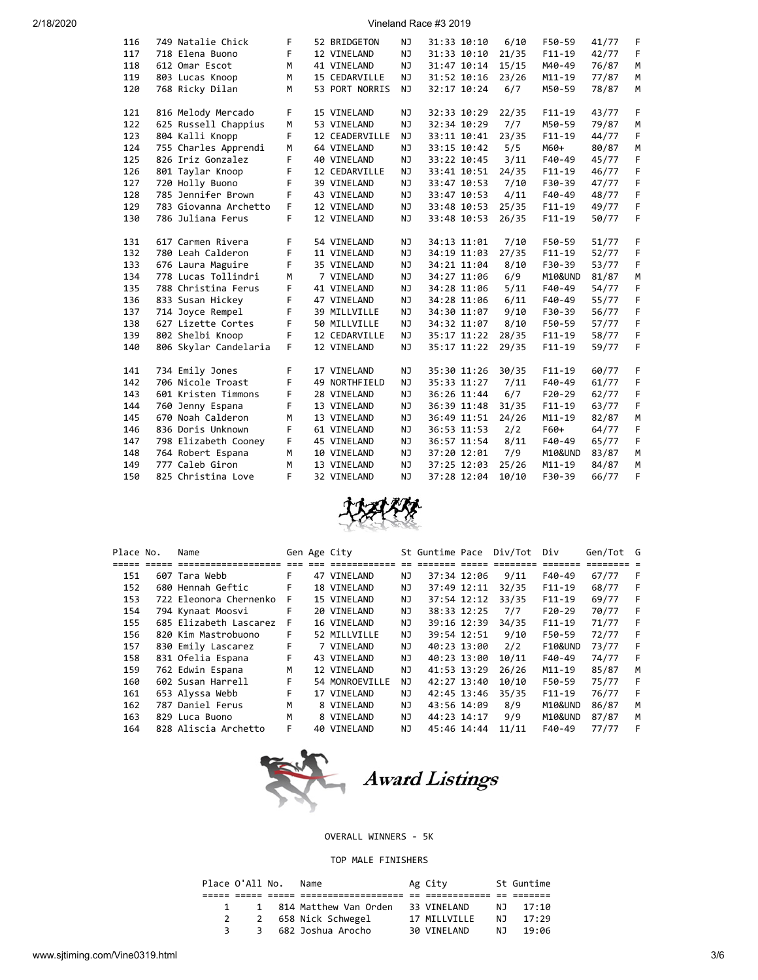### 2/18/2020 Vineland Race #3 2019

| 116 | 749 Natalie Chick     | F | 52 BRIDGETON   | NJ  | 31:33 10:10 | 6/10  | F50-59     | 41/77 | F |
|-----|-----------------------|---|----------------|-----|-------------|-------|------------|-------|---|
| 117 | 718 Elena Buono       | F | 12 VINELAND    | NJ  | 31:33 10:10 | 21/35 | $F11-19$   | 42/77 | F |
| 118 | 612 Omar Escot        | М | 41 VINELAND    | NJ  | 31:47 10:14 | 15/15 | M40-49     | 76/87 | M |
| 119 | 803 Lucas Knoop       | M | 15 CEDARVILLE  | ΝJ  | 31:52 10:16 | 23/26 | M11-19     | 77/87 | M |
| 120 | 768 Ricky Dilan       | М | 53 PORT NORRIS | NJ  | 32:17 10:24 | 6/7   | M50-59     | 78/87 | M |
|     |                       |   |                |     |             |       |            |       |   |
| 121 | 816 Melody Mercado    | F | 15 VINELAND    | NJ  | 32:33 10:29 | 22/35 | $F11 - 19$ | 43/77 | F |
| 122 | 625 Russell Chappius  | M | 53 VINELAND    | NJ  | 32:34 10:29 | 7/7   | M50-59     | 79/87 | M |
| 123 | 804 Kalli Knopp       | F | 12 CEADERVILLE | NJ  | 33:11 10:41 | 23/35 | $F11 - 19$ | 44/77 | F |
| 124 | 755 Charles Apprendi  | М | 64 VINELAND    | NJ  | 33:15 10:42 | 5/5   | M60+       | 80/87 | M |
| 125 | 826 Iriz Gonzalez     | F | 40 VINELAND    | NJ  | 33:22 10:45 | 3/11  | F40-49     | 45/77 | F |
| 126 | 801 Taylar Knoop      | F | 12 CEDARVILLE  | NJ  | 33:41 10:51 | 24/35 | $F11-19$   | 46/77 | F |
| 127 | 720 Holly Buono       | F | 39 VINELAND    | NJ  | 33:47 10:53 | 7/10  | F30-39     | 47/77 | F |
| 128 | 785 Jennifer Brown    | F | 43 VINELAND    | NJ  | 33:47 10:53 | 4/11  | F40-49     | 48/77 | F |
| 129 | 783 Giovanna Archetto | F | 12 VINELAND    | NJ  | 33:48 10:53 | 25/35 | $F11-19$   | 49/77 | F |
| 130 | 786 Juliana Ferus     | F | 12 VINELAND    | NJ  | 33:48 10:53 | 26/35 | $F11 - 19$ | 50/77 | F |
|     |                       |   |                |     |             |       |            |       |   |
| 131 | 617 Carmen Rivera     | F | 54 VINELAND    | NJ  | 34:13 11:01 | 7/10  | F50-59     | 51/77 | F |
| 132 | 780 Leah Calderon     | F | 11 VINELAND    | NJ  | 34:19 11:03 | 27/35 | $F11 - 19$ | 52/77 | F |
| 133 | 676 Laura Maguire     | F | 35 VINELAND    | NJ  | 34:21 11:04 | 8/10  | F30-39     | 53/77 | F |
| 134 | 778 Lucas Tollindri   | М | 7 VINELAND     | NJ  | 34:27 11:06 | 6/9   | M10&UND    | 81/87 | M |
| 135 | 788 Christina Ferus   | F | 41 VINELAND    | NJ  | 34:28 11:06 | 5/11  | F40-49     | 54/77 | F |
| 136 | 833 Susan Hickey      | F | 47 VINELAND    | NJ  | 34:28 11:06 | 6/11  | $F40-49$   | 55/77 | F |
| 137 | 714 Joyce Rempel      | F | 39 MILLVILLE   | NJ  | 34:30 11:07 | 9/10  | F30-39     | 56/77 | F |
| 138 | 627 Lizette Cortes    | F | 50 MILLVILLE   | NJ  | 34:32 11:07 | 8/10  | F50-59     | 57/77 | F |
| 139 | 802 Shelbi Knoop      | F | 12 CEDARVILLE  | NJ  | 35:17 11:22 | 28/35 | $F11 - 19$ | 58/77 | F |
| 140 | 806 Skylar Candelaria | F | 12 VINELAND    | NJ  | 35:17 11:22 | 29/35 | $F11 - 19$ | 59/77 | F |
|     |                       |   |                |     |             |       |            |       |   |
| 141 | 734 Emily Jones       | F | 17 VINELAND    | NJ  | 35:30 11:26 | 30/35 | $F11 - 19$ | 60/77 | F |
| 142 | 706 Nicole Troast     | F | 49 NORTHFIELD  | NJ  | 35:33 11:27 | 7/11  | $F40-49$   | 61/77 | F |
| 143 | 601 Kristen Timmons   | F | 28 VINELAND    | NJ. | 36:26 11:44 | 6/7   | $F20-29$   | 62/77 | F |
| 144 | 760 Jenny Espana      | F | 13 VINELAND    | NJ  | 36:39 11:48 | 31/35 | $F11 - 19$ | 63/77 | F |
| 145 | 670 Noah Calderon     | М | 13 VINELAND    | NJ  | 36:49 11:51 | 24/26 | $M11 - 19$ | 82/87 | M |
| 146 | 836 Doris Unknown     | F | 61 VINELAND    | ΝJ  | 36:53 11:53 | 2/2   | F60+       | 64/77 | F |
| 147 | 798 Elizabeth Cooney  | F | 45 VINELAND    | NJ  | 36:57 11:54 | 8/11  | $F40-49$   | 65/77 | F |
| 148 | 764 Robert Espana     | М | 10 VINELAND    | NJ  | 37:20 12:01 | 7/9   | M10&UND    | 83/87 | M |
| 149 | 777 Caleb Giron       | M | 13 VINELAND    | NJ  | 37:25 12:03 | 25/26 | M11-19     | 84/87 | M |
| 150 | 825 Christina Love    | F | 32 VINELAND    | NJ  | 37:28 12:04 | 10/10 | F30-39     | 66/77 | F |



| Place No. | Name                   |    | Gen Age City   |     | St Guntime Pace |             | Div/Tot | Div                | Gen/Tot G |     |
|-----------|------------------------|----|----------------|-----|-----------------|-------------|---------|--------------------|-----------|-----|
|           |                        |    |                |     |                 |             |         |                    |           |     |
| 151       | 607 Tara Webb          | F. | 47 VINELAND    | ΝJ  |                 | 37:34 12:06 | 9/11    | F40-49             | 67/77     | - F |
| 152       | 680 Hennah Geftic      | F  | 18 VINELAND    | NJ  |                 | 37:49 12:11 | 32/35   | $F11-19$           | 68/77     | -F  |
| 153       | 722 Eleonora Chernenko | F. | 15 VINELAND    | NJ  |                 | 37:54 12:12 | 33/35   | $F11-19$           | 69/77     | -F  |
| 154       | 794 Kynaat Moosvi      | F  | 20 VINELAND    | NJ  |                 | 38:33 12:25 | 7/7     | $F20-29$           | 70/77     | - F |
| 155       | 685 Elizabeth Lascarez | F. | 16 VINELAND    | NJ  |                 | 39:16 12:39 | 34/35   | $F11-19$           | 71/77     | F   |
| 156       | 820 Kim Mastrobuono    | F. | 52 MILLVILLE   | NJ  |                 | 39:54 12:51 | 9/10    | F50-59             | 72/77     | -F  |
| 157       | 830 Emily Lascarez     | F  | 7 VINELAND     | NJ  | 40:23 13:00     |             | 2/2     | <b>F10&amp;UND</b> | 73/77     | -F  |
| 158       | 831 Ofelia Espana      | F. | 43 VINELAND    | ΝJ  | 40:23 13:00     |             | 10/11   | F40-49             | 74/77     | F   |
| 159       | 762 Edwin Espana       | М  | 12 VINELAND    | NJ  | 41:53 13:29     |             | 26/26   | $M11 - 19$         | 85/87     | М   |
| 160       | 602 Susan Harrell      | F. | 54 MONROEVILLE | NJ. | 42:27 13:40     |             | 10/10   | F50-59             | 75/77     | -F  |
| 161       | 653 Alyssa Webb        | F. | 17 VINELAND    | NJ  |                 | 42:45 13:46 | 35/35   | $F11-19$           | 76/77     | F   |
| 162       | 787 Daniel Ferus       | М  | 8 VINELAND     | NJ  | 43:56 14:09     |             | 8/9     | M10&UND            | 86/87     | M   |
| 163       | 829 Luca Buono         | М  | 8 VINELAND     | NJ  | 44:23 14:17     |             | 9/9     | M10&UND            | 87/87     | м   |
| 164       | 828 Aliscia Archetto   | F  | 40 VINELAND    | ΝJ  | 45:46 14:44     |             | 11/11   | F40-49             | 77/77     | F   |



### OVERALL WINNERS - 5K

### TOP MALE FINISHERS

| Place O'All No. |              | Name                    | Ag City      |     | St Guntime |  |
|-----------------|--------------|-------------------------|--------------|-----|------------|--|
|                 |              |                         |              |     |            |  |
|                 |              | 1 814 Matthew Van Orden | 33 VINELAND  | NJ. | 17:10      |  |
|                 | 2            | 658 Nick Schwegel       | 17 MILLVILLE | NJ. | 17:29      |  |
|                 | $\mathbf{R}$ | 682 Joshua Arocho       | 30 VINELAND  | N J | 19:06      |  |
|                 |              |                         |              |     |            |  |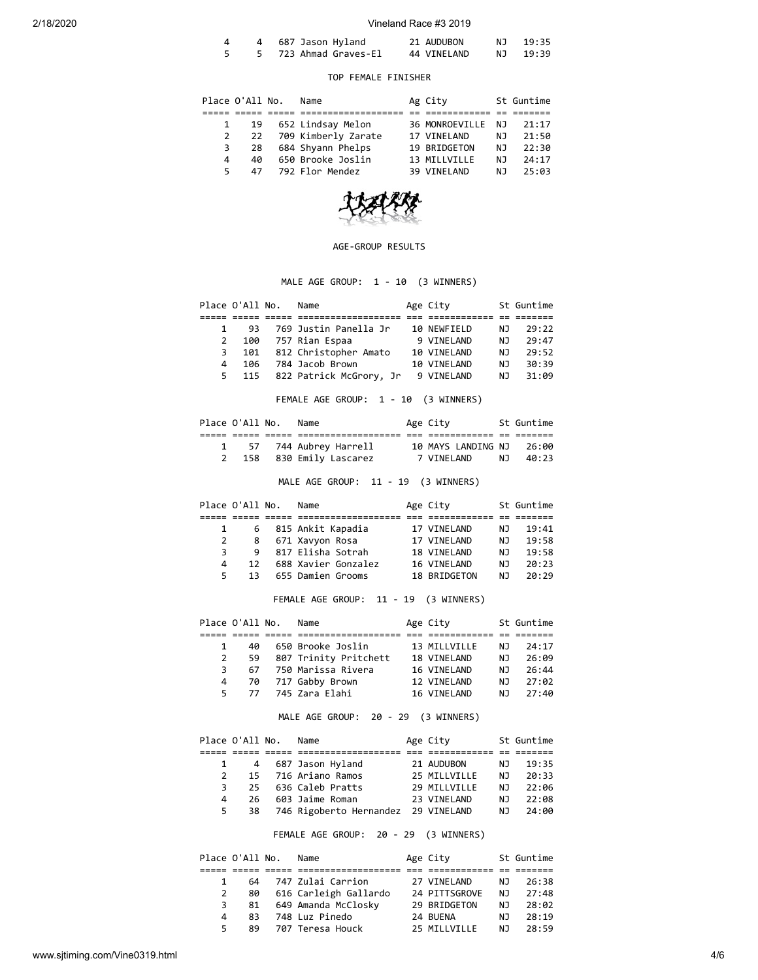#### 2/18/2020 Vineland Race #3 2019

|  | 4 687 Jason Hyland    | 21 AUDUBON  | NJ 19:35 |
|--|-----------------------|-------------|----------|
|  | 5 723 Ahmad Graves-El | 44 VINELAND | NJ 19:39 |

### TOP FEMALE FINISHER

|    | Place O'All No. | Name                   | Ag City           |     | St Guntime |
|----|-----------------|------------------------|-------------------|-----|------------|
|    |                 |                        |                   |     |            |
|    | 19              | 652 Lindsay Melon      | 36 MONROEVILLE NJ |     | 21:17      |
|    | 2               | 22 709 Kimberly Zarate | 17 VINELAND       | NJ  | 21:50      |
|    | 28<br>3         | 684 Shyann Phelps      | 19 BRIDGETON      | NJ. | 22:30      |
| 4  | 40              | 650 Brooke Joslin      | 13 MILLVILLE      | N J | 24:17      |
| 5. | 47              | 792 Flor Mendez        | 39 VINELAND       | ΝJ  | 25:03      |



### AGE-GROUP RESULTS

# MALE AGE GROUP: 1 - 10 (3 WINNERS)

|   | Place O'All No. | Name                        | Age City    |     | St Guntime |
|---|-----------------|-----------------------------|-------------|-----|------------|
|   |                 |                             |             |     |            |
|   | 93              | 769 Justin Panella Jr       | 10 NEWFIELD | N J | 29:22      |
| 2 |                 | 100 757 Rian Espaa          | 9 VINELAND  | N J | 29:47      |
| 3 | 101             | 812 Christopher Amato       | 10 VINELAND | NJ. | 29:52      |
| 4 | 106             | 784 Jacob Brown             | 10 VINELAND | N J | 30:39      |
| 5 |                 | 115 822 Patrick McGrory, Jr | 9 VINELAND  | NJ. | 31:09      |

FEMALE AGE GROUP: 1 - 10 (3 WINNERS)

| Place O'All No. | Name                     | Age City           | St Guntime |
|-----------------|--------------------------|--------------------|------------|
|                 |                          |                    |            |
|                 | 57   744 Aubrey Harrell  | 10 MAYS LANDING NJ | 26:00      |
|                 | 2 158 830 Emily Lascarez | 7 VINELAND         | NJ 40:23   |

MALE AGE GROUP: 11 - 19 (3 WINNERS)

|   |    |              | Name                      |                                                                                                       |                                                                                      | St Guntime |
|---|----|--------------|---------------------------|-------------------------------------------------------------------------------------------------------|--------------------------------------------------------------------------------------|------------|
|   |    |              |                           |                                                                                                       |                                                                                      |            |
|   |    |              |                           |                                                                                                       | N J                                                                                  | 19:41      |
|   |    |              |                           |                                                                                                       | NJ.                                                                                  | 19:58      |
|   | 9  |              |                           |                                                                                                       | N J                                                                                  | 19:58      |
| 4 | 12 |              |                           |                                                                                                       | N J                                                                                  | 20:23      |
|   | 13 |              |                           |                                                                                                       | N J                                                                                  | 20:29      |
|   |    | 2<br>3<br>5. | Place O'All No.<br>6<br>8 | 815 Ankit Kapadia<br>671 Xavyon Rosa<br>817 Elisha Sotrah<br>688 Xavier Gonzalez<br>655 Damien Grooms | Age City<br>17 VINELAND<br>17 VINELAND<br>18 VINELAND<br>16 VINELAND<br>18 BRIDGETON |            |

# FEMALE AGE GROUP: 11 - 19 (3 WINNERS)

|              | Place O'All No. | Name                  | Age City     |     | St Guntime |
|--------------|-----------------|-----------------------|--------------|-----|------------|
|              |                 |                       |              |     |            |
| $\mathbf{1}$ | 40              | 650 Brooke Joslin     | 13 MILLVILLE | N J | 24:17      |
| 2            | 59              | 807 Trinity Pritchett | 18 VINELAND  | N J | 26:09      |
| 3            | 67              | 750 Marissa Rivera    | 16 VINELAND  | N J | 26:44      |
| 4            | 70              | 717 Gabby Brown       | 12 VINELAND  | N J | 27:02      |
| 5.           |                 | 77 745 Zara Elahi     | 16 VINELAND  | N J | 27:40      |

MALE AGE GROUP: 20 - 29 (3 WINNERS)

|               | Place O'All No. | Name                                | Age City     |     | St Guntime |
|---------------|-----------------|-------------------------------------|--------------|-----|------------|
|               |                 |                                     |              |     |            |
|               | 4               | 687 Jason Hyland                    | 21 AUDUBON   | NJ. | 19:35      |
| $\mathcal{P}$ |                 | 15 716 Ariano Ramos                 | 25 MILLVILLE | N J | 20:33      |
| 3             | 25.             | 636 Caleb Pratts                    | 29 MTIIVTIIF | N J | 22:06      |
| 4             | 26              | 603 Jaime Roman                     | 23 VTNFLAND  | ΝJ  | 22:08      |
| 5.            | 38              | 746 Rigoberto Hernandez 29 VINELAND |              | N J | 24:00      |
|               |                 |                                     |              |     |            |

FEMALE AGE GROUP: 20 - 29 (3 WINNERS)

|    | Place O'All No. | Name                  | Age City      |     | St Guntime |
|----|-----------------|-----------------------|---------------|-----|------------|
|    |                 |                       |               |     |            |
|    | 64              | 747 Zulai Carrion     | 27 VINELAND   | N J | 26:38      |
| 2  | 80              | 616 Carleigh Gallardo | 24 PITTSGROVE | N J | 27:48      |
| 3  | 81              | 649 Amanda McClosky   | 29 BRIDGETON  | N J | 28:02      |
| 4  | 83              | 748 Luz Pinedo        | 24 BUENA      | ΝJ  | 28:19      |
| 5. | 89              | 707 Teresa Houck      | 25 MILLVILLE  | N J | 28:59      |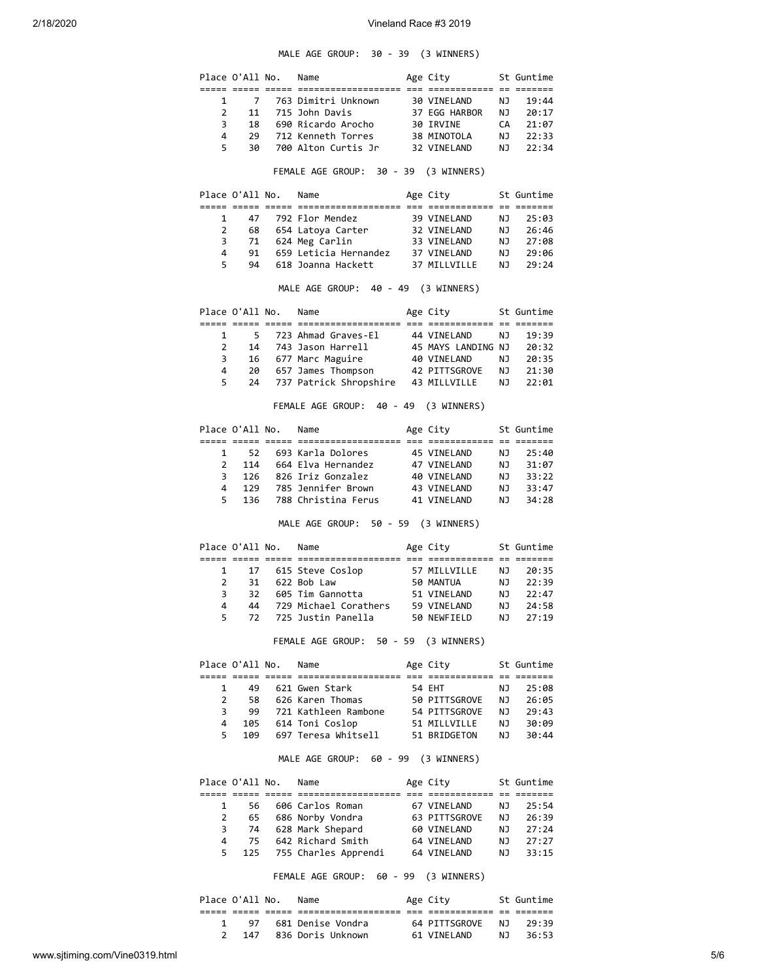### MALE AGE GROUP: 30 - 39 (3 WINNERS)

|                | Place O'All No. |                 | Name                                                  | Age City                                 |            | St Guntime           |
|----------------|-----------------|-----------------|-------------------------------------------------------|------------------------------------------|------------|----------------------|
| 1              | 7               |                 | 763 Dimitri Unknown                                   | 30 VINELAND                              | NJ         | 19:44                |
| 2              | 11              |                 |                                                       | 37 EGG HARBOR                            | NJ         |                      |
|                |                 |                 | 715 John Davis                                        |                                          |            | 20:17                |
| 3              | 18              |                 | 690 Ricardo Arocho                                    | 30 IRVINE<br>38 MINOTOLA                 | CA<br>NJ   | 21:07                |
| 4              | 29              |                 | 712 Kenneth Torres                                    |                                          |            | 22:33                |
| 5              | 30              |                 | 700 Alton Curtis Jr                                   | 32 VINELAND                              | NJ         | 22:34                |
|                |                 |                 | FEMALE AGE GROUP: 30 - 39 (3 WINNERS)                 |                                          |            |                      |
|                | Place O'All No. |                 | Name                                                  | Age City                                 |            | St Guntime           |
| 1              | 47              |                 | 792 Flor Mendez                                       | 39 VINELAND                              | NJ         | 25:03                |
| 2              | 68              |                 |                                                       |                                          |            | 26:46                |
| 3              | 71              |                 | 654 Latoya Carter 32 VINELAND<br>624 Meg Carlin       | 33 VINELAND                              | NJ<br>NJ   | 27:08                |
| 4              | 91              |                 | 659 Leticia Hernandez 37 VINELAND                     |                                          | <b>NJ</b>  |                      |
|                |                 |                 |                                                       |                                          |            | 29:06                |
| 5              | 94              |                 | 618 Joanna Hackett                                    | 37 MILLVILLE                             | NJ         | 29:24                |
|                |                 |                 | MALE AGE GROUP: 40 - 49 (3 WINNERS)                   |                                          |            |                      |
|                | Place O'All No. |                 | Name                                                  | Age City                                 |            | St Guntime           |
| 1              | 5               |                 | 723 Ahmad Graves-El                                   | 44 VINELAND                              | NJ         | 19:39                |
| $\overline{2}$ | 14              |                 | 743 Jason Harrell                                     |                                          |            | 20:32                |
| 3              | 16              |                 | 677 Marc Maguire                                      | 45 MAYS LANDING NJ<br>40 VINELAND     NJ |            | 20:35                |
| 4              | 20              |                 | 657 James Thompson 42 PITTSGROVE                      |                                          |            | 21:30                |
| 5              | 24              |                 | 737 Patrick Shropshire 43 MILLVILLE                   |                                          | NJ<br>NJ 1 | 22:01                |
|                |                 |                 | FEMALE AGE GROUP: 40 - 49 (3 WINNERS)                 |                                          |            |                      |
|                | Place O'All No. |                 | Name                                                  | Age City                                 |            | St Guntime           |
|                |                 |                 |                                                       |                                          |            |                      |
| 1              | 52              |                 | 693 Karla Dolores                                     | 45 VINELAND                              | NJ         | 25:40                |
| 2              | 114             |                 | 664 Elva Hernandez                                    | 47 VINELAND<br>40 VINELAND               | NJ         | 31:07                |
| 3              | 126             |                 | 826 Iriz Gonzalez                                     |                                          | <b>NJ</b>  | 33:22                |
| 4              | 129             |                 | 785 Jennifer Brown                                    |                                          |            | 33:47                |
| 5              | 136             |                 | 788 Christina Ferus                                   | 43 VINELAND<br>41 VINELAND               | NJ<br>NJ   | 34:28                |
|                |                 |                 | MALE AGE GROUP: 50 - 59 (3 WINNERS)                   |                                          |            |                      |
|                |                 | Place O'All No. | Name                                                  | Age City                                 |            | St Guntime           |
|                |                 |                 |                                                       |                                          |            |                      |
| 1              | 17              |                 | 615 Steve Coslop                                      | 57 MILLVILLE                             | NJ         | 20:35                |
| $\overline{2}$ | 31              |                 | 622 Bob Law                                           | 50 MANTUA                                | NJ         | 22:39                |
| 3              | 32              |                 | 605 Tim Gannotta                                      | 51 VINELAND                              | NJ         | 22:47                |
| 4              | 44              |                 | 729 Michael Corathers                                 | 59 VINELAND<br>50 NEWFIELD               | NJ 1       | 24:58                |
| 5              | 72              |                 | 725 Justin Panella                                    | 50 NEWFIELD                              | NJ         | 27:19                |
|                |                 |                 | FEMALE AGE GROUP: 50 - 59 (3 WINNERS)                 |                                          |            |                      |
|                | Place O'All No. |                 | Name                                                  | Age City<br>.========= == =======        |            | St Guntime           |
| 1              | 49              |                 | 621 Gwen Stark                                        | 54 EHT                                   | NJ         | 25:08                |
|                |                 |                 |                                                       | 50 PITTSGROVE                            | NJ 1       |                      |
| 2              | 58              |                 | 626 Karen Thomas                                      |                                          |            | 26:05                |
| 3              | 99              |                 | 721 Kathleen Rambone 54 PITTSGROVE                    |                                          | NJ<br>NJ   | 29:43                |
| 4              | 105             |                 | 614 Toni Coslop                                       | 51 MILLVILLE                             |            | 30:09                |
| 5              | 109             |                 | 697 Teresa Whitsell 51 BRIDGETON                      |                                          | <b>NJ</b>  | 30:44                |
|                |                 |                 | MALE AGE GROUP: 60 - 99 (3 WINNERS)                   |                                          |            |                      |
|                | Place O'All No. |                 | Name<br>===== ===== ===== ==================== === == | Age City                                 |            | St Guntime           |
| 1              | 56              |                 | 606 Carlos Roman                                      |                                          |            |                      |
|                |                 |                 |                                                       | 67 VINELAND                              | NJ         | 25:54                |
| 2              | 65              |                 | 686 Norby Vondra                                      | 63 PITTSGROVE                            | NJ         | 26:39                |
| 3              |                 |                 | 74 628 Mark Shepard                                   | 60 VINELAND                              |            | NJ 27:24<br>NJ 27:27 |
| 4              |                 |                 | 75 642 Richard Smith                                  | 64 VINELAND                              |            |                      |
| 5              | 125             |                 | 755 Charles Apprendi 64 VINELAND                      |                                          | NJ         | 33:15                |
|                |                 |                 | FEMALE AGE GROUP: 60 - 99 (3 WINNERS)                 |                                          |            |                      |
|                |                 |                 |                                                       |                                          |            |                      |